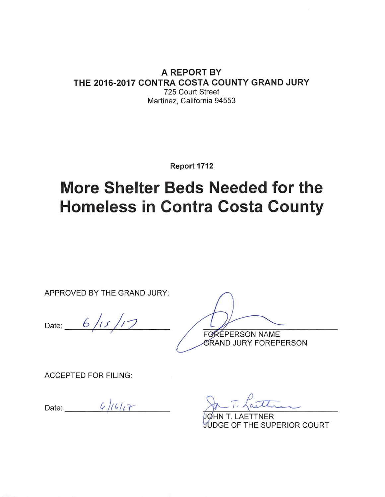#### A REPORT BY THE 2016-2017 CONTRA COSTA COUNTY GRAND JURY 725 Court Street Martinez, California 94553

Report 1712

# **More Shelter Beds Needed for the Homeless in Contra Costa County**

APPROVED BY THE GRAND JURY:

Date:  $6/15/17$ 

ŔÉPERSON NAME F<sub>Q</sub>

**GRAND JURY FOREPERSON** 

**ACCEPTED FOR FILING:** 

Date:  $\frac{6}{161}$ 

**TTNER JUDGE OF THE SUPERIOR COURT**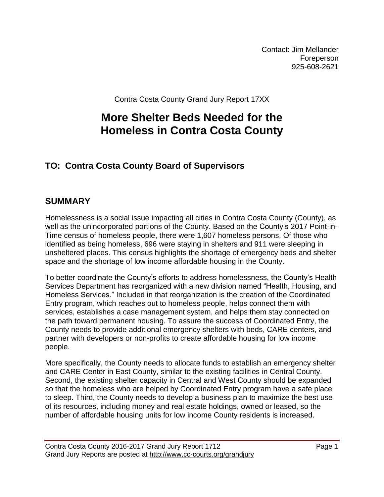Contact: Jim Mellander Foreperson 925-608-2621

Contra Costa County Grand Jury Report 17XX

## **More Shelter Beds Needed for the Homeless in Contra Costa County**

## **TO: Contra Costa County Board of Supervisors**

## **SUMMARY**

Homelessness is a social issue impacting all cities in Contra Costa County (County), as well as the unincorporated portions of the County. Based on the County's 2017 Point-in-Time census of homeless people, there were 1,607 homeless persons. Of those who identified as being homeless, 696 were staying in shelters and 911 were sleeping in unsheltered places. This census highlights the shortage of emergency beds and shelter space and the shortage of low income affordable housing in the County.

To better coordinate the County's efforts to address homelessness, the County's Health Services Department has reorganized with a new division named "Health, Housing, and Homeless Services." Included in that reorganization is the creation of the Coordinated Entry program, which reaches out to homeless people, helps connect them with services, establishes a case management system, and helps them stay connected on the path toward permanent housing. To assure the success of Coordinated Entry, the County needs to provide additional emergency shelters with beds, CARE centers, and partner with developers or non-profits to create affordable housing for low income people.

More specifically, the County needs to allocate funds to establish an emergency shelter and CARE Center in East County, similar to the existing facilities in Central County. Second, the existing shelter capacity in Central and West County should be expanded so that the homeless who are helped by Coordinated Entry program have a safe place to sleep. Third, the County needs to develop a business plan to maximize the best use of its resources, including money and real estate holdings, owned or leased, so the number of affordable housing units for low income County residents is increased.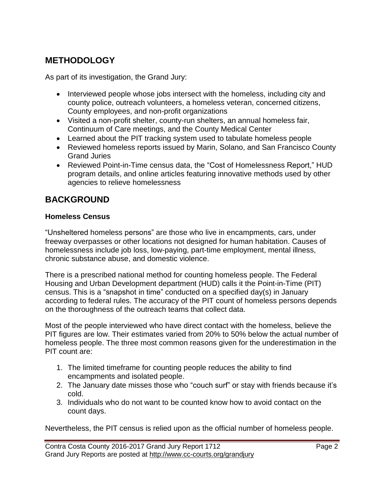## **METHODOLOGY**

As part of its investigation, the Grand Jury:

- Interviewed people whose jobs intersect with the homeless, including city and county police, outreach volunteers, a homeless veteran, concerned citizens, County employees, and non-profit organizations
- Visited a non-profit shelter, county-run shelters, an annual homeless fair, Continuum of Care meetings, and the County Medical Center
- Learned about the PIT tracking system used to tabulate homeless people
- Reviewed homeless reports issued by Marin, Solano, and San Francisco County Grand Juries
- Reviewed Point-in-Time census data, the "Cost of Homelessness Report," HUD program details, and online articles featuring innovative methods used by other agencies to relieve homelessness

## **BACKGROUND**

#### **Homeless Census**

"Unsheltered homeless persons" are those who live in encampments, cars, under freeway overpasses or other locations not designed for human habitation. Causes of homelessness include job loss, low-paying, part-time employment, mental illness, chronic substance abuse, and domestic violence.

There is a prescribed national method for counting homeless people. The Federal Housing and Urban Development department (HUD) calls it the Point-in-Time (PIT) census. This is a "snapshot in time" conducted on a specified day(s) in January according to federal rules. The accuracy of the PIT count of homeless persons depends on the thoroughness of the outreach teams that collect data.

Most of the people interviewed who have direct contact with the homeless, believe the PIT figures are low. Their estimates varied from 20% to 50% below the actual number of homeless people. The three most common reasons given for the underestimation in the PIT count are:

- 1. The limited timeframe for counting people reduces the ability to find encampments and isolated people.
- 2. The January date misses those who "couch surf" or stay with friends because it's cold.
- 3. Individuals who do not want to be counted know how to avoid contact on the count days.

Nevertheless, the PIT census is relied upon as the official number of homeless people.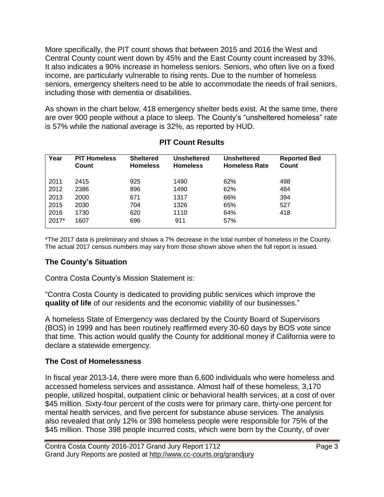More specifically, the PIT count shows that between 2015 and 2016 the West and Central County count went down by 45% and the East County count increased by 33%. It also indicates a 90% increase in homeless seniors. Seniors, who often live on a fixed income, are particularly vulnerable to rising rents. Due to the number of homeless seniors, emergency shelters need to be able to accommodate the needs of frail seniors, including those with dementia or disabilities.

As shown in the chart below, 418 emergency shelter beds exist. At the same time, there are over 900 people without a place to sleep. The County's "unsheltered homeless" rate is 57% while the national average is 32%, as reported by HUD.

| Year    | <b>PIT Homeless</b><br>Count | <b>Sheltered</b><br><b>Homeless</b> | <b>Unsheltered</b><br><b>Homeless</b> | <b>Unsheltered</b><br><b>Homeless Rate</b> | <b>Reported Bed</b><br>Count |
|---------|------------------------------|-------------------------------------|---------------------------------------|--------------------------------------------|------------------------------|
| 2011    | 2415                         | 925                                 | 1490                                  | 62%                                        | 498                          |
| 2012    | 2386                         | 896                                 | 1490                                  | 62%                                        | 484                          |
| 2013    | 2000                         | 671                                 | 1317                                  | 66%                                        | 394                          |
| 2015    | 2030                         | 704                                 | 1326                                  | 65%                                        | 527                          |
| 2016    | 1730                         | 620                                 | 1110                                  | 64%                                        | 418                          |
| $2017*$ | 1607                         | 696                                 | 911                                   | 57%                                        |                              |

#### **PIT Count Results**

\*The 2017 data is preliminary and shows a 7% decrease in the total number of homeless in the County. The actual 2017 census numbers may vary from those shown above when the full report is issued.

#### **The County's Situation**

Contra Costa County's Mission Statement is:

"Contra Costa County is dedicated to providing public services which improve the **quality of life** of our residents and the economic viability of our businesses."

A homeless State of Emergency was declared by the County Board of Supervisors (BOS) in 1999 and has been routinely reaffirmed every 30-60 days by BOS vote since that time. This action would qualify the County for additional money if California were to declare a statewide emergency.

#### **The Cost of Homelessness**

In fiscal year 2013-14, there were more than 6,600 individuals who were homeless and accessed homeless services and assistance. Almost half of these homeless, 3,170 people, utilized hospital, outpatient clinic or behavioral health services, at a cost of over \$45 million. Sixty-four percent of the costs were for primary care, thirty-one percent for mental health services, and five percent for substance abuse services. The analysis also revealed that only 12% or 398 homeless people were responsible for 75% of the \$45 million. Those 398 people incurred costs, which were born by the County, of over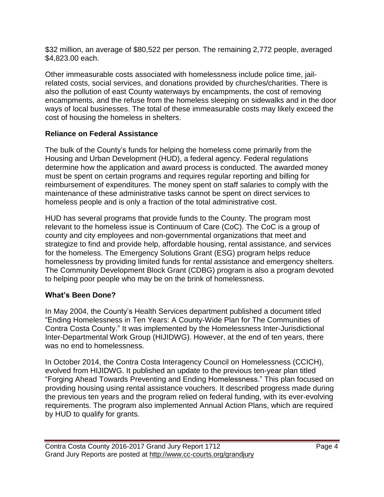\$32 million, an average of \$80,522 per person. The remaining 2,772 people, averaged \$4,823.00 each.

Other immeasurable costs associated with homelessness include police time, jailrelated costs, social services, and donations provided by churches/charities. There is also the pollution of east County waterways by encampments, the cost of removing encampments, and the refuse from the homeless sleeping on sidewalks and in the door ways of local businesses. The total of these immeasurable costs may likely exceed the cost of housing the homeless in shelters.

#### **Reliance on Federal Assistance**

The bulk of the County's funds for helping the homeless come primarily from the Housing and Urban Development (HUD), a federal agency. Federal regulations determine how the application and award process is conducted. The awarded money must be spent on certain programs and requires regular reporting and billing for reimbursement of expenditures. The money spent on staff salaries to comply with the maintenance of these administrative tasks cannot be spent on direct services to homeless people and is only a fraction of the total administrative cost.

HUD has several programs that provide funds to the County. The program most relevant to the homeless issue is Continuum of Care (CoC). The CoC is a group of county and city employees and non-governmental organizations that meet and strategize to find and provide help, affordable housing, rental assistance, and services for the homeless. The Emergency Solutions Grant (ESG) program helps reduce homelessness by providing limited funds for rental assistance and emergency shelters. The Community Development Block Grant (CDBG) program is also a program devoted to helping poor people who may be on the brink of homelessness.

#### **What's Been Done?**

In May 2004, the County's Health Services department published a document titled "Ending Homelessness in Ten Years: A County-Wide Plan for The Communities of Contra Costa County." It was implemented by the Homelessness Inter-Jurisdictional Inter-Departmental Work Group (HIJIDWG). However, at the end of ten years, there was no end to homelessness.

In October 2014, the Contra Costa Interagency Council on Homelessness (CCICH), evolved from HIJIDWG. It published an update to the previous ten-year plan titled "Forging Ahead Towards Preventing and Ending Homelessness." This plan focused on providing housing using rental assistance vouchers. It described progress made during the previous ten years and the program relied on federal funding, with its ever-evolving requirements. The program also implemented Annual Action Plans, which are required by HUD to qualify for grants.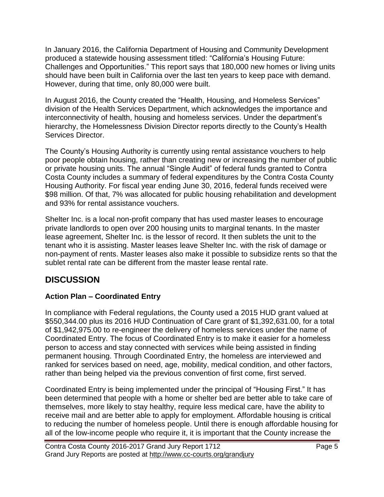In January 2016, the California Department of Housing and Community Development produced a statewide housing assessment titled: "California's Housing Future: Challenges and Opportunities." This report says that 180,000 new homes or living units should have been built in California over the last ten years to keep pace with demand. However, during that time, only 80,000 were built.

In August 2016, the County created the "Health, Housing, and Homeless Services" division of the Health Services Department, which acknowledges the importance and interconnectivity of health, housing and homeless services. Under the department's hierarchy, the Homelessness Division Director reports directly to the County's Health Services Director.

The County's Housing Authority is currently using rental assistance vouchers to help poor people obtain housing, rather than creating new or increasing the number of public or private housing units. The annual "Single Audit" of federal funds granted to Contra Costa County includes a summary of federal expenditures by the Contra Costa County Housing Authority. For fiscal year ending June 30, 2016, federal funds received were \$98 million. Of that, 7% was allocated for public housing rehabilitation and development and 93% for rental assistance vouchers.

Shelter Inc. is a local non-profit company that has used master leases to encourage private landlords to open over 200 housing units to marginal tenants. In the master lease agreement, Shelter Inc. is the lessor of record. It then sublets the unit to the tenant who it is assisting. Master leases leave Shelter Inc. with the risk of damage or non-payment of rents. Master leases also make it possible to subsidize rents so that the sublet rental rate can be different from the master lease rental rate.

## **DISCUSSION**

#### **Action Plan – Coordinated Entry**

In compliance with Federal regulations, the County used a 2015 HUD grant valued at \$550,344.00 plus its 2016 HUD Continuation of Care grant of \$1,392,631.00, for a total of \$1,942,975.00 to re-engineer the delivery of homeless services under the name of Coordinated Entry. The focus of Coordinated Entry is to make it easier for a homeless person to access and stay connected with services while being assisted in finding permanent housing. Through Coordinated Entry, the homeless are interviewed and ranked for services based on need, age, mobility, medical condition, and other factors, rather than being helped via the previous convention of first come, first served.

Coordinated Entry is being implemented under the principal of "Housing First." It has been determined that people with a home or shelter bed are better able to take care of themselves, more likely to stay healthy, require less medical care, have the ability to receive mail and are better able to apply for employment. Affordable housing is critical to reducing the number of homeless people. Until there is enough affordable housing for all of the low-income people who require it, it is important that the County increase the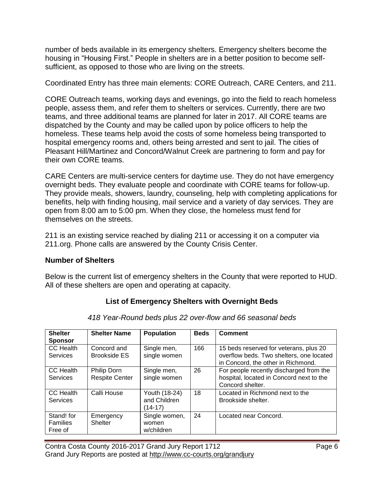number of beds available in its emergency shelters. Emergency shelters become the housing in "Housing First." People in shelters are in a better position to become selfsufficient, as opposed to those who are living on the streets.

Coordinated Entry has three main elements: CORE Outreach, CARE Centers, and 211.

CORE Outreach teams, working days and evenings, go into the field to reach homeless people, assess them, and refer them to shelters or services. Currently, there are two teams, and three additional teams are planned for later in 2017. All CORE teams are dispatched by the County and may be called upon by police officers to help the homeless. These teams help avoid the costs of some homeless being transported to hospital emergency rooms and, others being arrested and sent to jail. The cities of Pleasant Hill/Martinez and Concord/Walnut Creek are partnering to form and pay for their own CORE teams.

CARE Centers are multi-service centers for daytime use. They do not have emergency overnight beds. They evaluate people and coordinate with CORE teams for follow-up. They provide meals, showers, laundry, counseling, help with completing applications for benefits, help with finding housing, mail service and a variety of day services. They are open from 8:00 am to 5:00 pm. When they close, the homeless must fend for themselves on the streets.

211 is an existing service reached by dialing 211 or accessing it on a computer via 211.org. Phone calls are answered by the County Crisis Center.

#### **Number of Shelters**

Below is the current list of emergency shelters in the County that were reported to HUD. All of these shelters are open and operating at capacity.

#### **List of Emergency Shelters with Overnight Beds**

| <b>Shelter</b><br><b>Sponsor</b>         | <b>Shelter Name</b>                         | Population                               | <b>Beds</b> | <b>Comment</b>                                                                                                           |
|------------------------------------------|---------------------------------------------|------------------------------------------|-------------|--------------------------------------------------------------------------------------------------------------------------|
| CC Health<br>Services                    | Concord and<br><b>Brookside ES</b>          | Single men,<br>single women              | 166         | 15 beds reserved for veterans, plus 20<br>overflow beds. Two shelters, one located<br>in Concord, the other in Richmond. |
| CC Health<br><b>Services</b>             | <b>Philip Dorn</b><br><b>Respite Center</b> | Single men,<br>single women              | 26          | For people recently discharged from the<br>hospital, located in Concord next to the<br>Concord shelter.                  |
| CC Health<br>Services                    | Calli House                                 | Youth (18-24)<br>and Children<br>(14-17) | 18          | Located in Richmond next to the<br>Brookside shelter.                                                                    |
| Stand! for<br><b>Families</b><br>Free of | Emergency<br><b>Shelter</b>                 | Single women,<br>women<br>w/children     | 24          | Located near Concord.                                                                                                    |

*418 Year-Round beds plus 22 over-flow and 66 seasonal beds*

Contra Costa County 2016-2017 Grand Jury Report 1712 Page 6 Grand Jury Reports are posted at http://www.cc-courts.org/grandjury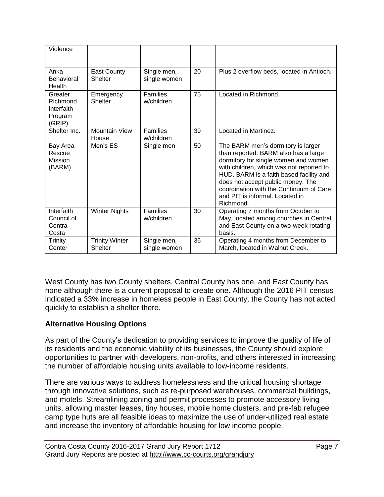| Violence                                               |                                         |                               |    |                                                                                                                                                                                                                                                                                                                                           |
|--------------------------------------------------------|-----------------------------------------|-------------------------------|----|-------------------------------------------------------------------------------------------------------------------------------------------------------------------------------------------------------------------------------------------------------------------------------------------------------------------------------------------|
|                                                        |                                         |                               |    |                                                                                                                                                                                                                                                                                                                                           |
| Anka<br>Behavioral<br>Health                           | East County<br>Shelter                  | Single men,<br>single women   | 20 | Plus 2 overflow beds, located in Antioch.                                                                                                                                                                                                                                                                                                 |
| Greater<br>Richmond<br>Interfaith<br>Program<br>(GRIP) | Emergency<br>Shelter                    | <b>Families</b><br>w/children | 75 | Located in Richmond.                                                                                                                                                                                                                                                                                                                      |
| Shelter Inc.                                           | <b>Mountain View</b><br>House           | <b>Families</b><br>w/children | 39 | Located in Martinez.                                                                                                                                                                                                                                                                                                                      |
| Bay Area<br>Rescue<br>Mission<br>(BARM)                | Men's ES                                | Single men                    | 50 | The BARM men's dormitory is larger<br>than reported. BARM also has a large<br>dormitory for single women and women<br>with children, which was not reported to<br>HUD. BARM is a faith based facility and<br>does not accept public money. The<br>coordination with the Continuum of Care<br>and PIT is informal. Located in<br>Richmond. |
| Interfaith<br>Council of<br>Contra<br>Costa            | <b>Winter Nights</b>                    | <b>Families</b><br>w/children | 30 | Operating 7 months from October to<br>May, located among churches in Central<br>and East County on a two-week rotating<br>basis.                                                                                                                                                                                                          |
| Trinity<br>Center                                      | <b>Trinity Winter</b><br><b>Shelter</b> | Single men,<br>single women   | 36 | Operating 4 months from December to<br>March, located in Walnut Creek.                                                                                                                                                                                                                                                                    |

West County has two County shelters, Central County has one, and East County has none although there is a current proposal to create one. Although the 2016 PIT census indicated a 33% increase in homeless people in East County, the County has not acted quickly to establish a shelter there.

#### **Alternative Housing Options**

As part of the County's dedication to providing services to improve the quality of life of its residents and the economic viability of its businesses, the County should explore opportunities to partner with developers, non-profits, and others interested in increasing the number of affordable housing units available to low-income residents.

There are various ways to address homelessness and the critical housing shortage through innovative solutions, such as re-purposed warehouses, commercial buildings, and motels. Streamlining zoning and permit processes to promote accessory living units, allowing master leases, tiny houses, mobile home clusters, and pre-fab refugee camp type huts are all feasible ideas to maximize the use of under-utilized real estate and increase the inventory of affordable housing for low income people.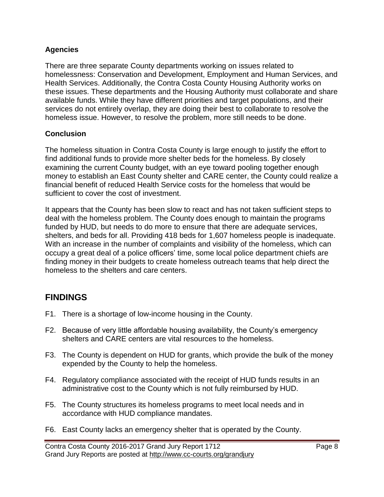#### **Agencies**

There are three separate County departments working on issues related to homelessness: Conservation and Development, Employment and Human Services, and Health Services. Additionally, the Contra Costa County Housing Authority works on these issues. These departments and the Housing Authority must collaborate and share available funds. While they have different priorities and target populations, and their services do not entirely overlap, they are doing their best to collaborate to resolve the homeless issue. However, to resolve the problem, more still needs to be done.

#### **Conclusion**

The homeless situation in Contra Costa County is large enough to justify the effort to find additional funds to provide more shelter beds for the homeless. By closely examining the current County budget, with an eye toward pooling together enough money to establish an East County shelter and CARE center, the County could realize a financial benefit of reduced Health Service costs for the homeless that would be sufficient to cover the cost of investment.

It appears that the County has been slow to react and has not taken sufficient steps to deal with the homeless problem. The County does enough to maintain the programs funded by HUD, but needs to do more to ensure that there are adequate services, shelters, and beds for all. Providing 418 beds for 1,607 homeless people is inadequate. With an increase in the number of complaints and visibility of the homeless, which can occupy a great deal of a police officers' time, some local police department chiefs are finding money in their budgets to create homeless outreach teams that help direct the homeless to the shelters and care centers.

## **FINDINGS**

- F1. There is a shortage of low-income housing in the County.
- F2. Because of very little affordable housing availability, the County's emergency shelters and CARE centers are vital resources to the homeless.
- F3. The County is dependent on HUD for grants, which provide the bulk of the money expended by the County to help the homeless.
- F4. Regulatory compliance associated with the receipt of HUD funds results in an administrative cost to the County which is not fully reimbursed by HUD.
- F5. The County structures its homeless programs to meet local needs and in accordance with HUD compliance mandates.
- F6. East County lacks an emergency shelter that is operated by the County.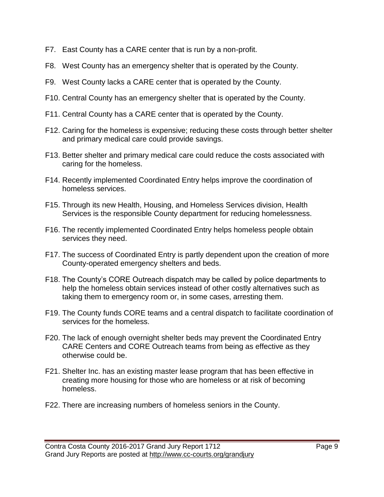- F7. East County has a CARE center that is run by a non-profit.
- F8. West County has an emergency shelter that is operated by the County.
- F9. West County lacks a CARE center that is operated by the County.
- F10. Central County has an emergency shelter that is operated by the County.
- F11. Central County has a CARE center that is operated by the County.
- F12. Caring for the homeless is expensive; reducing these costs through better shelter and primary medical care could provide savings.
- F13. Better shelter and primary medical care could reduce the costs associated with caring for the homeless.
- F14. Recently implemented Coordinated Entry helps improve the coordination of homeless services.
- F15. Through its new Health, Housing, and Homeless Services division, Health Services is the responsible County department for reducing homelessness.
- F16. The recently implemented Coordinated Entry helps homeless people obtain services they need.
- F17. The success of Coordinated Entry is partly dependent upon the creation of more County-operated emergency shelters and beds.
- F18. The County's CORE Outreach dispatch may be called by police departments to help the homeless obtain services instead of other costly alternatives such as taking them to emergency room or, in some cases, arresting them.
- F19. The County funds CORE teams and a central dispatch to facilitate coordination of services for the homeless.
- F20. The lack of enough overnight shelter beds may prevent the Coordinated Entry CARE Centers and CORE Outreach teams from being as effective as they otherwise could be.
- F21. Shelter Inc. has an existing master lease program that has been effective in creating more housing for those who are homeless or at risk of becoming homeless.
- F22. There are increasing numbers of homeless seniors in the County.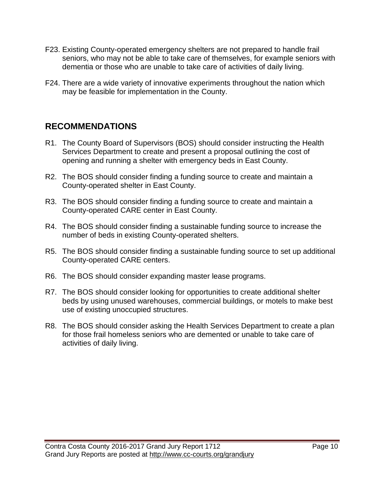- F23. Existing County-operated emergency shelters are not prepared to handle frail seniors, who may not be able to take care of themselves, for example seniors with dementia or those who are unable to take care of activities of daily living.
- F24. There are a wide variety of innovative experiments throughout the nation which may be feasible for implementation in the County.

## **RECOMMENDATIONS**

- R1. The County Board of Supervisors (BOS) should consider instructing the Health Services Department to create and present a proposal outlining the cost of opening and running a shelter with emergency beds in East County.
- R2. The BOS should consider finding a funding source to create and maintain a County-operated shelter in East County.
- R3. The BOS should consider finding a funding source to create and maintain a County-operated CARE center in East County.
- R4. The BOS should consider finding a sustainable funding source to increase the number of beds in existing County-operated shelters.
- R5. The BOS should consider finding a sustainable funding source to set up additional County-operated CARE centers.
- R6. The BOS should consider expanding master lease programs.
- R7. The BOS should consider looking for opportunities to create additional shelter beds by using unused warehouses, commercial buildings, or motels to make best use of existing unoccupied structures.
- R8. The BOS should consider asking the Health Services Department to create a plan for those frail homeless seniors who are demented or unable to take care of activities of daily living.